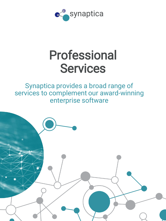

## Professional **Services**

## Synaptica provides a broad range of services to complement our award-winning enterprise software

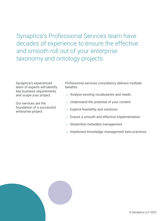Synaptica's Professional Services team have decades of experience to ensure the effective and smooth roll out of your enterprise taxonomy and ontology projects.

Synaptica's experienced team of experts will identify key business requirements and scope your project.

Our services are the foundation of a successful enterprise project.

Professional services consultancy delivers multiple benefits:

- o Analyze existing vocabularies and needs
- o Understand the potential of your content
- o Explore feasibility and solutions
- o Ensure a smooth and effective implementation
- o Streamline metadata management
- o Implement knowledge management best practices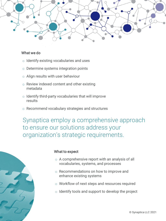

## What we do

- o Identify existing vocabularies and uses
- o Determine systems integration points
- o Align results with user behaviour
- o Review indexed content and other existing metadata
- o Identify third-party vocabularies that will improve results
- o Recommend vocabulary strategies and structures

Synaptica employ a comprehensive approach to ensure our solutions address your organization's strategic requirements.



## What to expect

- o A comprehensive report with an analysis of all vocabularies, systems, and processes
- o Recommendations on how to improve and enhance existing systems
- o Workflow of next steps and resources required
- o Identify tools and support to develop the project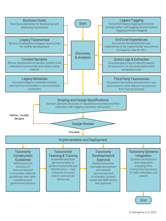